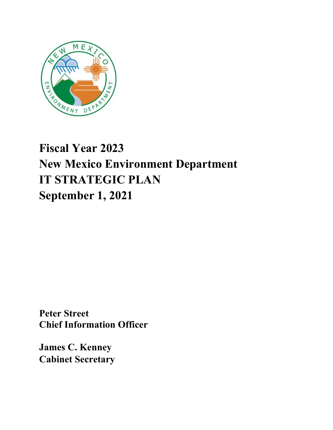

# **Fiscal Year 2023 New Mexico Environment Department IT STRATEGIC PLAN September 1, 2021**

**Peter Street Chief Information Officer**

**James C. Kenney Cabinet Secretary**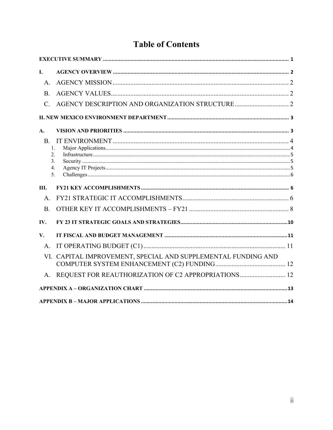# **Table of Contents**

| L                                       |                                                               |  |
|-----------------------------------------|---------------------------------------------------------------|--|
| A <sub>1</sub>                          |                                                               |  |
| <b>B.</b>                               |                                                               |  |
| $\mathcal{C}$ .                         |                                                               |  |
|                                         |                                                               |  |
| A.                                      |                                                               |  |
| <b>B.</b><br>1.<br>2.<br>3.<br>4.<br>5. |                                                               |  |
| Ш.                                      |                                                               |  |
| $A$ .                                   |                                                               |  |
| <b>B.</b>                               |                                                               |  |
| IV.                                     |                                                               |  |
| V.                                      |                                                               |  |
| A.                                      |                                                               |  |
|                                         | VI. CAPITAL IMPROVEMENT, SPECIAL AND SUPPLEMENTAL FUNDING AND |  |
| A.                                      |                                                               |  |
|                                         |                                                               |  |
|                                         |                                                               |  |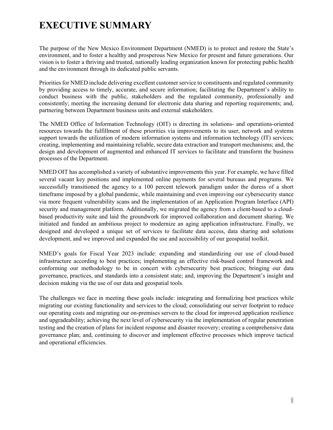# <span id="page-2-0"></span>**EXECUTIVE SUMMARY**

The purpose of the New Mexico Environment Department (NMED) is to protect and restore the State's environment, and to foster a healthy and prosperous New Mexico for present and future generations. Our vision is to foster a thriving and trusted, nationally leading organization known for protecting public health and the environment through its dedicated public servants.

Priorities for NMED include delivering excellent customer service to constituents and regulated community by providing access to timely, accurate, and secure information; facilitating the Department's ability to conduct business with the public, stakeholders and the regulated community, professionally and consistently; meeting the increasing demand for electronic data sharing and reporting requirements; and, partnering between Department business units and external stakeholders.

The NMED Office of Information Technology (OIT) is directing its solutions- and operations-oriented resources towards the fulfillment of these priorities via improvements to its user, network and systems support towards the utilization of modern information systems and information technology (IT) services; creating, implementing and maintaining reliable, secure data extraction and transport mechanisms; and, the design and development of augmented and enhanced IT services to facilitate and transform the business processes of the Department.

NMED OIT has accomplished a variety of substantive improvements this year. For example, we have filled several vacant key positions and implemented online payments for several bureaus and programs. We successfully transitioned the agency to a 100 percent telework paradigm under the duress of a short timeframe imposed by a global pandemic, while maintaining and even improving our cybersecurity stance via more frequent vulnerability scans and the implementation of an Application Program Interface (API) security and management platform. Additionally, we migrated the agency from a client-based to a cloudbased productivity suite and laid the groundwork for improved collaboration and document sharing. We initiated and funded an ambitious project to modernize an aging application infrastructure. Finally, we designed and developed a unique set of services to facilitate data access, data sharing and solutions development, and we improved and expanded the use and accessibility of our geospatial toolkit.

NMED's goals for Fiscal Year 2023 include: expanding and standardizing our use of cloud-based infrastructure according to best practices; implementing an effective risk-based control framework and conforming our methodology to be in concert with cybersecurity best practices; bringing our data governance, practices, and standards into a consistent state; and, improving the Department's insight and decision making via the use of our data and geospatial tools.

The challenges we face in meeting these goals include: integrating and formalizing best practices while migrating our existing functionality and services to the cloud; consolidating our server footprint to reduce our operating costs and migrating our on-premises servers to the cloud for improved application resilience and upgradeability; achieving the next level of cybersecurity via the implementation of regular penetration testing and the creation of plans for incident response and disaster recovery; creating a comprehensive data governance plan; and, continuing to discover and implement effective processes which improve tactical and operational efficiencies.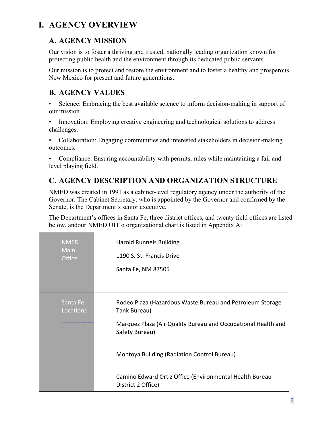## <span id="page-3-0"></span>**I. AGENCY OVERVIEW**

### <span id="page-3-1"></span>**A. AGENCY MISSION**

Our vision is to foster a thriving and trusted, nationally leading organization known for protecting public health and the environment through its dedicated public servants.

Our mission is to protect and restore the environment and to foster a healthy and prosperous New Mexico for present and future generations.

### <span id="page-3-2"></span>**B. AGENCY VALUES**

• Science: Embracing the best available science to inform decision-making in support of our mission.

• Innovation: Employing creative engineering and technological solutions to address challenges.

• Collaboration: Engaging communities and interested stakeholders in decision-making outcomes.

• Compliance: Ensuring accountability with permits, rules while maintaining a fair and level playing field.

### <span id="page-3-3"></span>**C. AGENCY DESCRIPTION AND ORGANIZATION STRUCTURE**

NMED was created in 1991 as a cabinet-level regulatory agency under the authority of the Governor. The Cabinet Secretary, who is appointed by the Governor and confirmed by the Senate, is the Department's senior executive.

The Department's offices in Santa Fe, three district offices, and twenty field offices are listed below, andour NMED OIT o organizational chart.is listed in Appendix A:

| <b>NMED</b><br><b>Main</b><br><b>Office</b> | <b>Harold Runnels Building</b><br>1190 S. St. Francis Drive<br>Santa Fe, NM 87505                                                                            |
|---------------------------------------------|--------------------------------------------------------------------------------------------------------------------------------------------------------------|
| Santa Fe<br>Locations                       | Rodeo Plaza (Hazardous Waste Bureau and Petroleum Storage<br>Tank Bureau)<br>Marquez Plaza (Air Quality Bureau and Occupational Health and<br>Safety Bureau) |
|                                             | Montoya Building (Radiation Control Bureau)<br>Camino Edward Ortiz Office (Environmental Health Bureau<br>District 2 Office)                                 |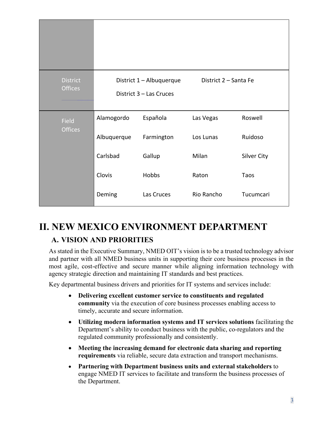| <b>District</b><br><b>Offices</b> |             | District 1 - Albuquerque<br>District 3 - Las Cruces | District 2 - Santa Fe |                    |
|-----------------------------------|-------------|-----------------------------------------------------|-----------------------|--------------------|
| Field                             | Alamogordo  | Española                                            | Las Vegas             | Roswell            |
| <b>Offices</b>                    | Albuquerque | Farmington                                          | Los Lunas             | Ruidoso            |
|                                   | Carlsbad    | Gallup                                              | Milan                 | <b>Silver City</b> |
|                                   | Clovis      | Hobbs                                               | Raton                 | Taos               |
|                                   | Deming      | Las Cruces                                          | Rio Rancho            | Tucumcari          |

# <span id="page-4-1"></span><span id="page-4-0"></span>**II. NEW MEXICO ENVIRONMENT DEPARTMENT A. VISION AND PRIORITIES**

As stated in the Executive Summary, NMED OIT's vision is to be a trusted technology advisor and partner with all NMED business units in supporting their core business processes in the most agile, cost-effective and secure manner while aligning information technology with agency strategic direction and maintaining IT standards and best practices.

Key departmental business drivers and priorities for IT systems and services include:

- **Delivering excellent customer service to constituents and regulated community** via the execution of core business processes enabling access to timely, accurate and secure information.
- **Utilizing modern information systems and IT services solutions** facilitating the Department's ability to conduct business with the public, co-regulators and the regulated community professionally and consistently.
- **Meeting the increasing demand for electronic data sharing and reporting requirements** via reliable, secure data extraction and transport mechanisms.
- **Partnering with Department business units and external stakeholders** to engage NMED IT services to facilitate and transform the business processes of the Department.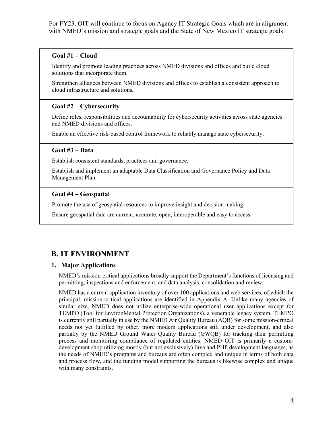For FY23, OIT will continue to focus on Agency IT Strategic Goals which are in alignment with NMED's mission and strategic goals and the State of New Mexico IT strategic goals:

#### **Goal #1 – Cloud**

Identify and promote leading practices across NMED divisions and offices and build cloud solutions that incorporate them.

Strengthen alliances between NMED divisions and offices to establish a consistent approach to cloud infrastructure and solutions**.**

#### **Goal #2 – Cybersecurity**

Define roles, responsibilities and accountability for cybersecurity activities across state agencies and NMED divisions and offices.

Enable an effective risk-based control framework to reliably manage state cybersecurity.

#### **Goal #3 – Data**

Establish consistent standards, practices and governance.

Establish and implement an adaptable Data Classification and Governance Policy and Data Management Plan.

#### **Goal #4 – Geospatial**

Promote the use of geospatial resources to improve insight and decision making.

Ensure geospatial data are current, accurate, open, interoperable and easy to access.

### <span id="page-5-0"></span>**B. IT ENVIRONMENT**

#### <span id="page-5-1"></span>**1. Major Applications**

NMED's mission-critical applications broadly support the Department's functions of licensing and permitting, inspections and enforcement, and data analysis, consolidation and review.

NMED has a current application inventory of over 100 applications and web services, of which the principal, mission-critical applications are identified in Appendix A. Unlike many agencies of similar size, NMED does not utilize enterprise-wide operational user applications except for TEMPO (Tool for EnvironMental Protection Organizations), a venerable legacy system. TEMPO is currently still partially in use by the NMED Air Quality Bureau (AQB) for some mission-critical needs not yet fulfilled by other, more modern applications still under development, and also partially by the NMED Ground Water Quality Bureau (GWQB) for tracking their permitting process and monitoring compliance of regulated entities. NMED OIT is primarily a customdevelopment shop utilizing mostly (but not exclusively) Java and PHP development languages, as the needs of NMED's programs and bureaus are often complex and unique in terms of both data and process flow, and the funding model supporting the bureaus is likewise complex and unique with many constraints.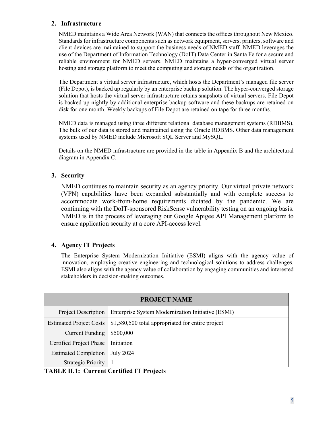#### <span id="page-6-0"></span>**2. Infrastructure**

NMED maintains a Wide Area Network (WAN) that connects the offices throughout New Mexico. Standards for infrastructure components such as network equipment, servers, printers, software and client devices are maintained to support the business needs of NMED staff. NMED leverages the use of the Department of Information Technology (DoIT) Data Center in Santa Fe for a secure and reliable environment for NMED servers. NMED maintains a hyper-converged virtual server hosting and storage platform to meet the computing and storage needs of the organization.

The Department's virtual server infrastructure, which hosts the Department's managed file server (File Depot), is backed up regularly by an enterprise backup solution. The hyper-converged storage solution that hosts the virtual server infrastructure retains snapshots of virtual servers. File Depot is backed up nightly by additional enterprise backup software and these backups are retained on disk for one month. Weekly backups of File Depot are retained on tape for three months.

NMED data is managed using three different relational database management systems (RDBMS). The bulk of our data is stored and maintained using the Oracle RDBMS. Other data management systems used by NMED include Microsoft SQL Server and MySQL.

Details on the NMED infrastructure are provided in the table in Appendix B and the architectural diagram in Appendix C.

#### <span id="page-6-1"></span>**3. Security**

NMED continues to maintain security as an agency priority. Our virtual private network (VPN) capabilities have been expanded substantially and with complete success to accommodate work-from-home requirements dictated by the pandemic. We are continuing with the DoIT-sponsored RiskSense vulnerability testing on an ongoing basis. NMED is in the process of leveraging our Google Apigee API Management platform to ensure application security at a core API-access level.

#### <span id="page-6-2"></span>**4. Agency IT Projects**

The Enterprise System Modernization Initiative (ESMI) aligns with the agency value of innovation, employing creative engineering and technological solutions to address challenges. ESMI also aligns with the agency value of collaboration by engaging communities and interested stakeholders in decision‐making outcomes.

| <b>PROJECT NAME</b>            |                                                   |  |
|--------------------------------|---------------------------------------------------|--|
| Project Description            | Enterprise System Modernization Initiative (ESMI) |  |
| <b>Estimated Project Costs</b> | \$1,580,500 total appropriated for entire project |  |
| <b>Current Funding</b>         | \$500,000                                         |  |
| Certified Project Phase        | Initiation                                        |  |
| <b>Estimated Completion</b>    | <b>July 2024</b>                                  |  |
| <b>Strategic Priority</b>      |                                                   |  |

**TABLE II.1: Current Certified IT Projects**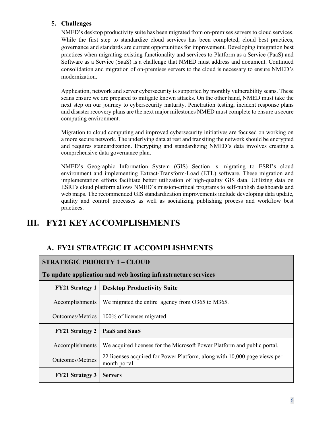#### <span id="page-7-0"></span>**5. Challenges**

NMED's desktop productivity suite has been migrated from on-premises servers to cloud services. While the first step to standardize cloud services has been completed, cloud best practices, governance and standards are current opportunities for improvement. Developing integration best practices when migrating existing functionality and services to Platform as a Service (PaaS) and Software as a Service (SaaS) is a challenge that NMED must address and document. Continued consolidation and migration of on-premises servers to the cloud is necessary to ensure NMED's modernization.

Application, network and server cybersecurity is supported by monthly vulnerability scans. These scans ensure we are prepared to mitigate known attacks. On the other hand, NMED must take the next step on our journey to cybersecurity maturity. Penetration testing, incident response plans and disaster recovery plans are the next major milestones NMED must complete to ensure a secure computing environment.

Migration to cloud computing and improved cybersecurity initiatives are focused on working on a more secure network. The underlying data at rest and transiting the network should be encrypted and requires standardization. Encrypting and standardizing NMED's data involves creating a comprehensive data governance plan.

NMED's Geographic Information System (GIS) Section is migrating to ESRI's cloud environment and implementing Extract-Transform-Load (ETL) software. These migration and implementation efforts facilitate better utilization of high-quality GIS data. Utilizing data on ESRI's cloud platform allows NMED's mission-critical programs to self-publish dashboards and web maps. The recommended GIS standardization improvements include developing data update, quality and control processes as well as socializing publishing process and workflow best practices.

### <span id="page-7-1"></span>**III. FY21 KEY ACCOMPLISHMENTS**

### <span id="page-7-2"></span>**A. FY21 STRATEGIC IT ACCOMPLISHMENTS**

**To update application and web hosting infrastructure services**

| <b>FY21 Strategy 1</b>  | <b>Desktop Productivity Suite</b>                                                         |
|-------------------------|-------------------------------------------------------------------------------------------|
| Accomplishments         | We migrated the entire agency from O365 to M365.                                          |
| Outcomes/Metrics        | 100% of licenses migrated                                                                 |
| <b>FY21 Strategy 2</b>  | PaaS and SaaS                                                                             |
| Accomplishments         | We acquired licenses for the Microsoft Power Platform and public portal.                  |
| <b>Outcomes/Metrics</b> | 22 licenses acquired for Power Platform, along with 10,000 page views per<br>month portal |
| <b>FY21 Strategy 3</b>  | <b>Servers</b>                                                                            |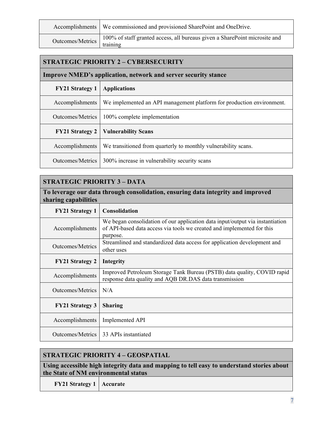|                           | Accomplishments   We commissioned and provisioned SharePoint and OneDrive. |
|---------------------------|----------------------------------------------------------------------------|
| Outcomes/Metrics training | 100% of staff granted access, all bureaus given a SharePoint microsite and |

#### **STRATEGIC PRIORITY 2 – CYBERSECURITY**

#### **Improve NMED's application, network and server security stance**

| <b>FY21 Strategy 1</b> | <b>Applications</b>                                                   |
|------------------------|-----------------------------------------------------------------------|
| Accomplishments        | We implemented an API management platform for production environment. |
| Outcomes/Metrics       | 100% complete implementation                                          |
|                        |                                                                       |
| <b>FY21 Strategy 2</b> | <b>Vulnerability Scans</b>                                            |
| Accomplishments        | We transitioned from quarterly to monthly vulnerability scans.        |

### **STRATEGIC PRIORITY 3 – DATA**

### **To leverage our data through consolidation, ensuring data integrity and improved sharing capabilities**

| <b>FY21 Strategy 1</b> | <b>Consolidation</b>                                                                                                                                                |
|------------------------|---------------------------------------------------------------------------------------------------------------------------------------------------------------------|
| Accomplishments        | We began consolidation of our application data input/output via instantiation<br>of API-based data access via tools we created and implemented for this<br>purpose. |
| Outcomes/Metrics       | Streamlined and standardized data access for application development and<br>other uses                                                                              |
| <b>FY21 Strategy 2</b> | Integrity                                                                                                                                                           |
| Accomplishments        | Improved Petroleum Storage Tank Bureau (PSTB) data quality, COVID rapid<br>response data quality and AQB DR.DAS data transmission                                   |
| Outcomes/Metrics       | N/A                                                                                                                                                                 |
| <b>FY21 Strategy 3</b> | <b>Sharing</b>                                                                                                                                                      |
| Accomplishments        | Implemented API                                                                                                                                                     |
| Outcomes/Metrics       | 33 APIs instantiated                                                                                                                                                |

| <b>STRATEGIC PRIORITY 4 - GEOSPATIAL</b>                                                                                          |  |  |
|-----------------------------------------------------------------------------------------------------------------------------------|--|--|
| Using accessible high integrity data and mapping to tell easy to understand stories about<br>the State of NM environmental status |  |  |
| <b>FY21 Strategy 1   Accurate</b>                                                                                                 |  |  |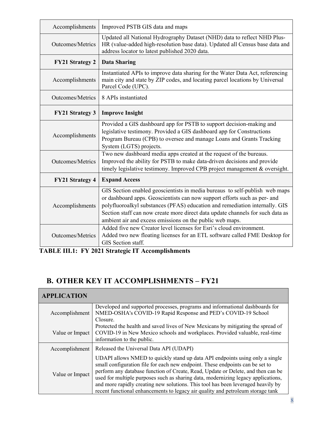| Accomplishments         | Improved PSTB GIS data and maps                                                                                                                                                                                                                                                                                                                                                       |
|-------------------------|---------------------------------------------------------------------------------------------------------------------------------------------------------------------------------------------------------------------------------------------------------------------------------------------------------------------------------------------------------------------------------------|
| <b>Outcomes/Metrics</b> | Updated all National Hydrography Dataset (NHD) data to reflect NHD Plus-<br>HR (value-added high-resolution base data). Updated all Census base data and<br>address locator to latest published 2020 data.                                                                                                                                                                            |
| <b>FY21 Strategy 2</b>  | <b>Data Sharing</b>                                                                                                                                                                                                                                                                                                                                                                   |
| Accomplishments         | Instantiated APIs to improve data sharing for the Water Data Act, referencing<br>main city and state by ZIP codes, and locating parcel locations by Universal<br>Parcel Code (UPC).                                                                                                                                                                                                   |
| <b>Outcomes/Metrics</b> | 8 APIs instantiated                                                                                                                                                                                                                                                                                                                                                                   |
| <b>FY21 Strategy 3</b>  | <b>Improve Insight</b>                                                                                                                                                                                                                                                                                                                                                                |
| Accomplishments         | Provided a GIS dashboard app for PSTB to support decision-making and<br>legislative testimony. Provided a GIS dashboard app for Constructions<br>Program Bureau (CPB) to oversee and manage Loans and Grants Tracking<br>System (LGTS) projects.                                                                                                                                      |
| <b>Outcomes/Metrics</b> | Two new dashboard media apps created at the request of the bureaus.<br>Improved the ability for PSTB to make data-driven decisions and provide<br>timely legislative testimony. Improved CPB project management & oversight.                                                                                                                                                          |
| <b>FY21 Strategy 4</b>  | <b>Expand Access</b>                                                                                                                                                                                                                                                                                                                                                                  |
| Accomplishments         | GIS Section enabled geoscientists in media bureaus to self-publish web maps<br>or dashboard apps. Geoscientists can now support efforts such as per- and<br>polyfluoroalkyl substances (PFAS) education and remediation internally. GIS<br>Section staff can now create more direct data update channels for such data as<br>ambient air and excess emissions on the public web maps. |
| <b>Outcomes/Metrics</b> | Added five new Creator level licenses for Esri's cloud environment.<br>Added two new floating licenses for an ETL software called FME Desktop for<br>GIS Section staff.                                                                                                                                                                                                               |

**TABLE III.1: FY 2021 Strategic IT Accomplishments**

 $\blacksquare$ 

### <span id="page-9-0"></span>**B. OTHER KEY IT ACCOMPLISHMENTS – FY21**

| <b>APPLICATION</b> |                                                                                                                                                                                                                                                                                                                                                                                                                                                                                                               |  |  |
|--------------------|---------------------------------------------------------------------------------------------------------------------------------------------------------------------------------------------------------------------------------------------------------------------------------------------------------------------------------------------------------------------------------------------------------------------------------------------------------------------------------------------------------------|--|--|
| Accomplishment     | Developed and supported processes, programs and informational dashboards for<br>NMED-OSHA's COVID-19 Rapid Response and PED's COVID-19 School<br>Closure.                                                                                                                                                                                                                                                                                                                                                     |  |  |
| Value or Impact    | Protected the health and saved lives of New Mexicans by mitigating the spread of<br>COVID-19 in New Mexico schools and workplaces. Provided valuable, real-time<br>information to the public.                                                                                                                                                                                                                                                                                                                 |  |  |
| Accomplishment     | Released the Universal Data API (UDAPI)                                                                                                                                                                                                                                                                                                                                                                                                                                                                       |  |  |
| Value or Impact    | UDAPI allows NMED to quickly stand up data API endpoints using only a single<br>small configuration file for each new endpoint. These endpoints can be set to<br>perform any database function of Create, Read, Update or Delete, and then can be<br>used for multiple purposes such as sharing data, modernizing legacy applications,<br>and more rapidly creating new solutions. This tool has been leveraged heavily by<br>recent functional enhancements to legacy air quality and petroleum storage tank |  |  |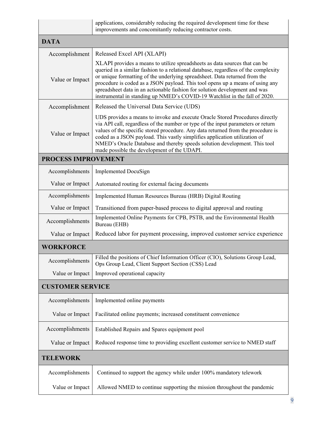|                         | applications, considerably reducing the required development time for these<br>improvements and concomitantly reducing contractor costs.                                                                                                                                                                                                                                                                                                                                                     |  |  |  |
|-------------------------|----------------------------------------------------------------------------------------------------------------------------------------------------------------------------------------------------------------------------------------------------------------------------------------------------------------------------------------------------------------------------------------------------------------------------------------------------------------------------------------------|--|--|--|
| <b>DATA</b>             |                                                                                                                                                                                                                                                                                                                                                                                                                                                                                              |  |  |  |
| Accomplishment          | Released Excel API (XLAPI)                                                                                                                                                                                                                                                                                                                                                                                                                                                                   |  |  |  |
| Value or Impact         | XLAPI provides a means to utilize spreadsheets as data sources that can be<br>queried in a similar fashion to a relational database, regardless of the complexity<br>or unique formatting of the underlying spreadsheet. Data returned from the<br>procedure is coded as a JSON payload. This tool opens up a means of using any<br>spreadsheet data in an actionable fashion for solution development and was<br>instrumental in standing up NMED's COVID-19 Watchlist in the fall of 2020. |  |  |  |
| Accomplishment          | Released the Universal Data Service (UDS)                                                                                                                                                                                                                                                                                                                                                                                                                                                    |  |  |  |
| Value or Impact         | UDS provides a means to invoke and execute Oracle Stored Procedures directly<br>via API call, regardless of the number or type of the input parameters or return<br>values of the specific stored procedure. Any data returned from the procedure is<br>coded as a JSON payload. This vastly simplifies application utilization of<br>NMED's Oracle Database and thereby speeds solution development. This tool<br>made possible the development of the UDAPI.                               |  |  |  |
| PROCESS IMPROVEMENT     |                                                                                                                                                                                                                                                                                                                                                                                                                                                                                              |  |  |  |
| Accomplishments         | <b>Implemented DocuSign</b>                                                                                                                                                                                                                                                                                                                                                                                                                                                                  |  |  |  |
| Value or Impact         | Automated routing for external facing documents                                                                                                                                                                                                                                                                                                                                                                                                                                              |  |  |  |
| Accomplishments         | Implemented Human Resources Bureau (HRB) Digital Routing                                                                                                                                                                                                                                                                                                                                                                                                                                     |  |  |  |
| Value or Impact         | Transitioned from paper-based process to digital approval and routing                                                                                                                                                                                                                                                                                                                                                                                                                        |  |  |  |
| Accomplishments         | Implemented Online Payments for CPB, PSTB, and the Environmental Health<br>Bureau (EHB)                                                                                                                                                                                                                                                                                                                                                                                                      |  |  |  |
| Value or Impact         | Reduced labor for payment processing, improved customer service experience                                                                                                                                                                                                                                                                                                                                                                                                                   |  |  |  |
| <b>WORKFORCE</b>        |                                                                                                                                                                                                                                                                                                                                                                                                                                                                                              |  |  |  |
| Accomplishments         | Filled the positions of Chief Information Officer (CIO), Solutions Group Lead,<br>Ops Group Lead, Client Support Section (CSS) Lead                                                                                                                                                                                                                                                                                                                                                          |  |  |  |
| Value or Impact         | Improved operational capacity                                                                                                                                                                                                                                                                                                                                                                                                                                                                |  |  |  |
| <b>CUSTOMER SERVICE</b> |                                                                                                                                                                                                                                                                                                                                                                                                                                                                                              |  |  |  |
| Accomplishments         | Implemented online payments                                                                                                                                                                                                                                                                                                                                                                                                                                                                  |  |  |  |
| Value or Impact         | Facilitated online payments; increased constituent convenience                                                                                                                                                                                                                                                                                                                                                                                                                               |  |  |  |
| Accomplishments         | Established Repairs and Spares equipment pool                                                                                                                                                                                                                                                                                                                                                                                                                                                |  |  |  |
| Value or Impact         | Reduced response time to providing excellent customer service to NMED staff                                                                                                                                                                                                                                                                                                                                                                                                                  |  |  |  |
| <b>TELEWORK</b>         |                                                                                                                                                                                                                                                                                                                                                                                                                                                                                              |  |  |  |
| Accomplishments         | Continued to support the agency while under 100% mandatory telework                                                                                                                                                                                                                                                                                                                                                                                                                          |  |  |  |
| Value or Impact         | Allowed NMED to continue supporting the mission throughout the pandemic                                                                                                                                                                                                                                                                                                                                                                                                                      |  |  |  |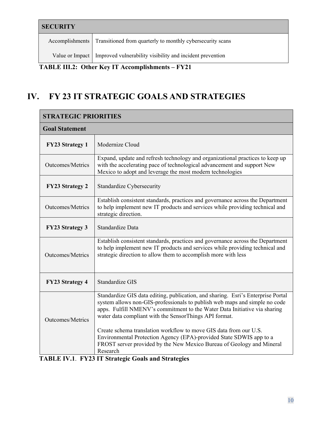| <b>SECURITY</b>                                  |                                                                             |  |  |  |
|--------------------------------------------------|-----------------------------------------------------------------------------|--|--|--|
|                                                  | Accomplishments Transitioned from quarterly to monthly cybersecurity scans  |  |  |  |
|                                                  | Value or Impact   Improved vulnerability visibility and incident prevention |  |  |  |
| TABLE III.2: Other Key IT Accomplishments – FY21 |                                                                             |  |  |  |

# <span id="page-11-0"></span>**IV. FY 23 IT STRATEGIC GOALS AND STRATEGIES**

| <b>STRATEGIC PRIORITIES</b> |                                                                                                                                                                                                                                                                                                       |  |  |
|-----------------------------|-------------------------------------------------------------------------------------------------------------------------------------------------------------------------------------------------------------------------------------------------------------------------------------------------------|--|--|
| <b>Goal Statement</b>       |                                                                                                                                                                                                                                                                                                       |  |  |
| <b>FY23 Strategy 1</b>      | Modernize Cloud                                                                                                                                                                                                                                                                                       |  |  |
| <b>Outcomes/Metrics</b>     | Expand, update and refresh technology and organizational practices to keep up<br>with the accelerating pace of technological advancement and support New<br>Mexico to adopt and leverage the most modern technologies                                                                                 |  |  |
| <b>FY23 Strategy 2</b>      | Standardize Cybersecurity                                                                                                                                                                                                                                                                             |  |  |
| <b>Outcomes/Metrics</b>     | Establish consistent standards, practices and governance across the Department<br>to help implement new IT products and services while providing technical and<br>strategic direction.                                                                                                                |  |  |
| <b>FY23 Strategy 3</b>      | Standardize Data                                                                                                                                                                                                                                                                                      |  |  |
| Outcomes/Metrics            | Establish consistent standards, practices and governance across the Department<br>to help implement new IT products and services while providing technical and<br>strategic direction to allow them to accomplish more with less                                                                      |  |  |
| <b>FY23 Strategy 4</b>      | Standardize GIS                                                                                                                                                                                                                                                                                       |  |  |
| Outcomes/Metrics            | Standardize GIS data editing, publication, and sharing. Esri's Enterprise Portal<br>system allows non-GIS-professionals to publish web maps and simple no code<br>apps. Fulfill NMENV's commitment to the Water Data Initiative via sharing<br>water data compliant with the SensorThings API format. |  |  |
|                             | Create schema translation workflow to move GIS data from our U.S.<br>Environmental Protection Agency (EPA)-provided State SDWIS app to a<br>FROST server provided by the New Mexico Bureau of Geology and Mineral<br>Research                                                                         |  |  |
|                             | <b>TABLE IV.1. FY23 IT Strategic Goals and Strategies</b>                                                                                                                                                                                                                                             |  |  |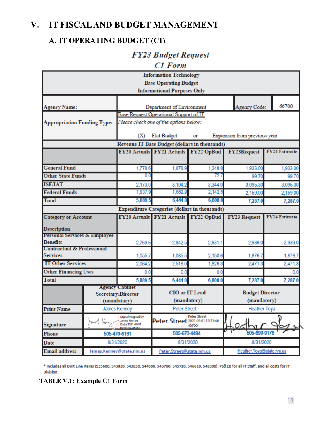### <span id="page-12-0"></span>**V. IT FISCAL AND BUDGET MANAGEMENT**

### <span id="page-12-1"></span>**A. IT OPERATING BUDGET (C1)**

### **FY23 Budget Request**

**C1** Form

| <b>Information Technology</b>                        |  |                                                         |                                                                     |                                               |                              |                      |  |
|------------------------------------------------------|--|---------------------------------------------------------|---------------------------------------------------------------------|-----------------------------------------------|------------------------------|----------------------|--|
| <b>Base Operating Budget</b>                         |  |                                                         |                                                                     |                                               |                              |                      |  |
|                                                      |  |                                                         | <b>Informational Purposes Only</b>                                  |                                               |                              |                      |  |
|                                                      |  |                                                         |                                                                     |                                               |                              | 66700                |  |
| <b>Agency Name:</b>                                  |  |                                                         | Department of Environment<br>Base Request Operational Support of IT |                                               | Agency Code:                 |                      |  |
| <b>Appropriation Funding Type:</b>                   |  |                                                         |                                                                     |                                               |                              |                      |  |
|                                                      |  | Please check one of the options below:                  |                                                                     |                                               |                              |                      |  |
|                                                      |  | (X)                                                     | <b>Flat Budget</b>                                                  | Οſ                                            | Expansion from previous year |                      |  |
|                                                      |  |                                                         |                                                                     | Revenue IT Base Budget (dollars in thousands) |                              |                      |  |
|                                                      |  |                                                         | FY20 Actuals FY21 Actuals FY22 OpBud                                |                                               | <b>FY23Request</b>           | <b>FY24 Estimate</b> |  |
|                                                      |  |                                                         |                                                                     |                                               |                              |                      |  |
| <b>General Fund</b>                                  |  | 1,778.6                                                 | 1,676.9                                                             | 1,248.8                                       | 1,933.00                     | 1,933.00             |  |
| <b>Other State Funds</b>                             |  | 00                                                      |                                                                     | 72.7                                          | 99.70                        | 99.70                |  |
| <b>ISF/IAT</b>                                       |  | 2,173.0                                                 | 3,104.2                                                             | 3,344.0                                       | 3,095.30                     | 3,095.30             |  |
| <b>Federal Funds</b>                                 |  | 1,937.9                                                 | 1,662.9                                                             | 2,142.5                                       | 2,159.00                     | 2,159.00             |  |
| <b>Total</b>                                         |  | 5,889.5                                                 | 6,444.0                                                             | 6,808.0                                       | 7,287.0                      | 7,287.0              |  |
| <b>Expenditure Categories (dollars in thousands)</b> |  |                                                         |                                                                     |                                               |                              |                      |  |
| <b>Category or Account</b>                           |  |                                                         | FY20 Actuals FY21 Actuals FY22 OpBud                                |                                               | <b>FY23 Request</b>          | <b>FY24 Estimate</b> |  |
| <b>Description</b>                                   |  |                                                         |                                                                     |                                               |                              |                      |  |
| <b>Personal Services &amp; Employee</b>              |  |                                                         |                                                                     |                                               |                              |                      |  |
| <b>Benefits</b>                                      |  | 2,769.6                                                 | 2,842.5                                                             | 2,831.1                                       | 2,939.0                      | 2,939.0              |  |
| <b>Contractual &amp; Professional</b>                |  |                                                         |                                                                     |                                               |                              |                      |  |
|                                                      |  |                                                         |                                                                     |                                               |                              |                      |  |
| <b>Services</b>                                      |  | 1,055.7                                                 | 1,085.5                                                             | 2,150.6                                       | 1,876.7                      | 1,876.7              |  |
| <b>IT Other Services</b>                             |  | 2,064.2                                                 | 2,516.0                                                             | 1,826.3                                       | 2,471.3                      | 2,471.3              |  |
| <b>Other Financing Uses</b>                          |  | 0.0                                                     | 0.0                                                                 | 0.0                                           |                              | 0.0                  |  |
| <b>Total</b>                                         |  | 5,889.5                                                 | 6,444.0                                                             | 6,808.0                                       | 7,287.0                      | 7,287.0              |  |
|                                                      |  | <b>Agency Cabinet</b><br>Secretary/Director             | CIO or IT Lead                                                      |                                               | <b>Budget Director</b>       |                      |  |
|                                                      |  | (mandatory)                                             |                                                                     | (mandatory)                                   | (mandatory)                  |                      |  |
| <b>Print Name</b>                                    |  | James Kenney                                            | <b>Peter Street</b>                                                 |                                               | <b>Heather Toya</b>          |                      |  |
| <b>Signature</b>                                     |  | Digitally signed by<br>James Kenney<br>Date: 2021.09.01 | Peter Street 2021.09.01 13:31:40                                    | <b>Peter Street</b><br>$-06'00'$              |                              |                      |  |
| Phone                                                |  | 505-470-6161                                            | 505-670-4494                                                        |                                               | Heath<br>505-699-9176        |                      |  |
| Date                                                 |  | 8/31/2020                                               |                                                                     | 8/31/2020                                     | 8/31/2020                    |                      |  |

\* Includes all Dolt Line Items (535600, 543820, 543830, 544000, 545700, 545710, 546610, 548300), PS&EB for all IT Staff, and all costs for IT Division.

### **TABLE V.1: Example C1 Form**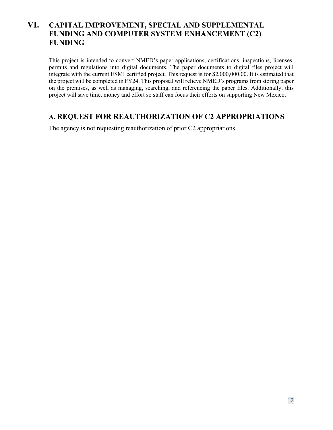### <span id="page-13-0"></span>**VI. CAPITAL IMPROVEMENT, SPECIAL AND SUPPLEMENTAL FUNDING AND COMPUTER SYSTEM ENHANCEMENT (C2) FUNDING**

This project is intended to convert NMED's paper applications, certifications, inspections, licenses, permits and regulations into digital documents. The paper documents to digital files project will integrate with the current ESMI certified project. This request is for \$2,000,000.00. It is estimated that the project will be completed in FY24. This proposal will relieve NMED's programs from storing paper on the premises, as well as managing, searching, and referencing the paper files. Additionally, this project will save time, money and effort so staff can focus their efforts on supporting New Mexico.

### <span id="page-13-1"></span>**A. REQUEST FOR REAUTHORIZATION OF C2 APPROPRIATIONS**

The agency is not requesting reauthorization of prior C2 appropriations.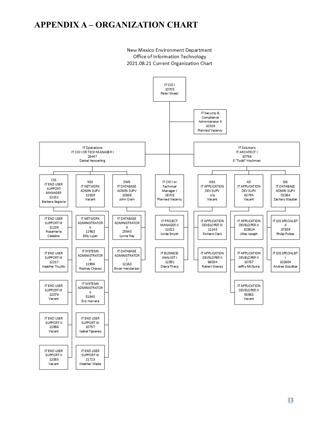### <span id="page-14-0"></span>**APPENDIX A – ORGANIZATION CHART**

New Mexico Environment Department Office of Information Technology 2021.08.21 Current Organization Chart

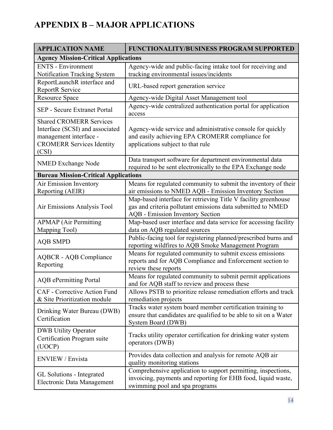# <span id="page-15-0"></span>**APPENDIX B – MAJOR APPLICATIONS**

| <b>APPLICATION NAME</b>                                                                                                                  | <b>FUNCTIONALITY/BUSINESS PROGRAM SUPPORTED</b>                                                                                                                   |  |  |  |  |
|------------------------------------------------------------------------------------------------------------------------------------------|-------------------------------------------------------------------------------------------------------------------------------------------------------------------|--|--|--|--|
| <b>Agency Mission-Critical Applications</b>                                                                                              |                                                                                                                                                                   |  |  |  |  |
| <b>ENTS</b> - Environment<br>Notification Tracking System                                                                                | Agency-wide and public-facing intake tool for receiving and<br>tracking environmental issues/incidents                                                            |  |  |  |  |
| ReportLaunchR interface and<br>ReportR Service                                                                                           | URL-based report generation service                                                                                                                               |  |  |  |  |
| Resource Space                                                                                                                           | Agency-wide Digital Asset Management tool                                                                                                                         |  |  |  |  |
| <b>SEP</b> - Secure Extranet Portal                                                                                                      | Agency-wide centralized authentication portal for application<br>access                                                                                           |  |  |  |  |
| <b>Shared CROMERR Services</b><br>Interface (SCSI) and associated<br>management interface -<br><b>CROMERR Services Identity</b><br>(CSI) | Agency-wide service and administrative console for quickly<br>and easily achieving EPA CROMERR compliance for<br>applications subject to that rule                |  |  |  |  |
| <b>NMED Exchange Node</b>                                                                                                                | Data transport software for department environmental data<br>required to be sent electronically to the EPA Exchange node                                          |  |  |  |  |
| <b>Bureau Mission-Critical Applications</b>                                                                                              |                                                                                                                                                                   |  |  |  |  |
| Air Emission Inventory<br>Reporting (AEIR)                                                                                               | Means for regulated community to submit the inventory of their<br>air emissions to NMED AQB - Emission Inventory Section                                          |  |  |  |  |
| Air Emissions Analysis Tool                                                                                                              | Map-based interface for retrieving Title V facility greenhouse<br>gas and criteria pollutant emissions data submitted to NMED<br>AQB - Emission Inventory Section |  |  |  |  |
| <b>APMAP</b> (Air Permitting<br>Mapping Tool)                                                                                            | Map-based user interface and data service for accessing facility<br>data on AQB regulated sources                                                                 |  |  |  |  |
| <b>AQB SMPD</b>                                                                                                                          | Public-facing tool for registering planned/prescribed burns and<br>reporting wildfires to AQB Smoke Management Program                                            |  |  |  |  |
| <b>AQBCR - AQB Compliance</b><br>Reporting                                                                                               | Means for regulated community to submit excess emissions<br>reports and for AQB Compliance and Enforcement section to<br>review these reports                     |  |  |  |  |
| <b>AQB</b> ePermitting Portal                                                                                                            | Means for regulated community to submit permit applications<br>and for AQB staff to review and process these                                                      |  |  |  |  |
| CAF - Corrective Action Fund<br>& Site Prioritization module                                                                             | Allows PSTB to prioritize release remediation efforts and track<br>remediation projects                                                                           |  |  |  |  |
| Drinking Water Bureau (DWB)<br>Certification                                                                                             | Tracks water system board member certification training to<br>ensure that candidates are qualified to be able to sit on a Water<br>System Board (DWB)             |  |  |  |  |
| <b>DWB Utility Operator</b><br>Certification Program suite<br>(UOCP)                                                                     | Tracks utility operator certification for drinking water system<br>operators (DWB)                                                                                |  |  |  |  |
| ENVIEW / Envista                                                                                                                         | Provides data collection and analysis for remote AQB air<br>quality monitoring stations                                                                           |  |  |  |  |
| GL Solutions - Integrated<br>Electronic Data Management                                                                                  | Comprehensive application to support permitting, inspections,<br>invoicing, payments and reporting for EHB food, liquid waste,<br>swimming pool and spa programs  |  |  |  |  |